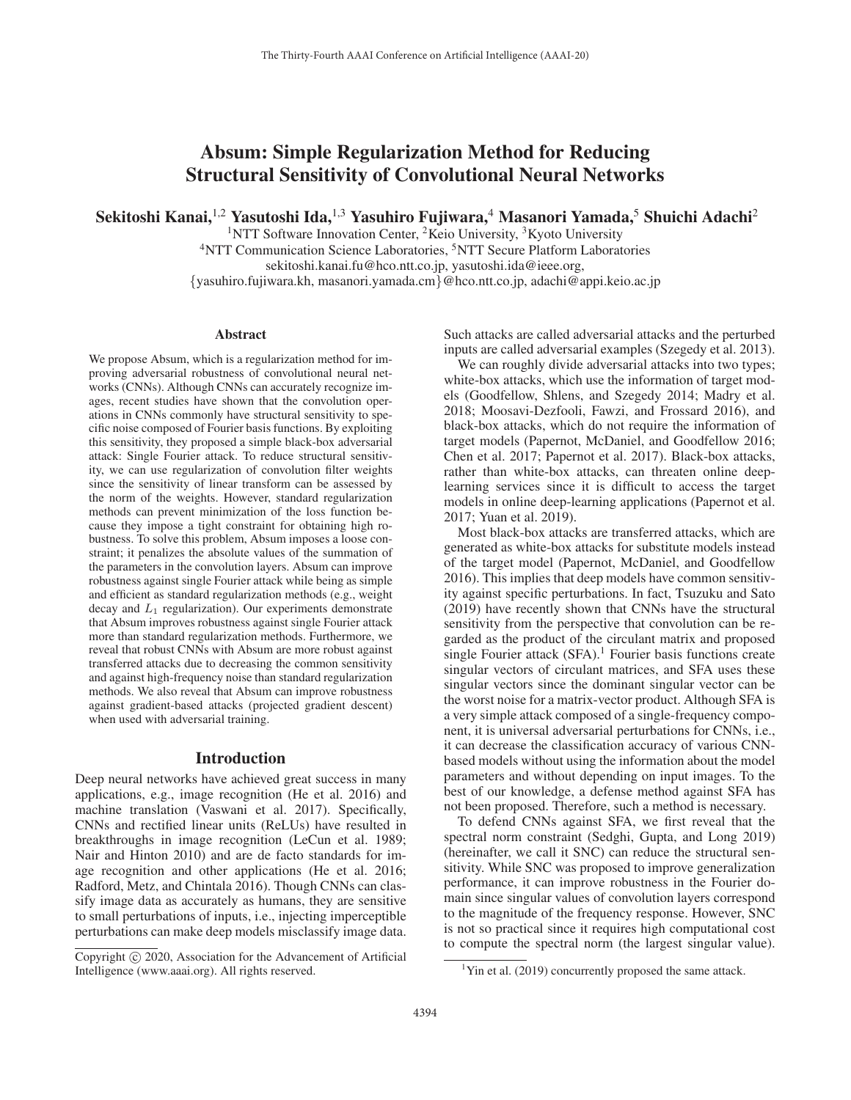# Absum: Simple Regularization Method for Reducing Structural Sensitivity of Convolutional Neural Networks

Sekitoshi Kanai,<sup>1,2</sup> Yasutoshi Ida,<sup>1,3</sup> Yasuhiro Fujiwara,<sup>4</sup> Masanori Yamada,<sup>5</sup> Shuichi Adachi<sup>2</sup>

<sup>1</sup>NTT Software Innovation Center, <sup>2</sup>Keio University, <sup>3</sup>Kyoto University <sup>4</sup>NTT Communication Science Laboratories, <sup>5</sup>NTT Secure Platform Laboratories sekitoshi.kanai.fu@hco.ntt.co.jp, yasutoshi.ida@ieee.org,

{yasuhiro.fujiwara.kh, masanori.yamada.cm}@hco.ntt.co.jp, adachi@appi.keio.ac.jp

#### Abstract

We propose Absum, which is a regularization method for improving adversarial robustness of convolutional neural networks (CNNs). Although CNNs can accurately recognize images, recent studies have shown that the convolution operations in CNNs commonly have structural sensitivity to specific noise composed of Fourier basis functions. By exploiting this sensitivity, they proposed a simple black-box adversarial attack: Single Fourier attack. To reduce structural sensitivity, we can use regularization of convolution filter weights since the sensitivity of linear transform can be assessed by the norm of the weights. However, standard regularization methods can prevent minimization of the loss function because they impose a tight constraint for obtaining high robustness. To solve this problem, Absum imposes a loose constraint; it penalizes the absolute values of the summation of the parameters in the convolution layers. Absum can improve robustness against single Fourier attack while being as simple and efficient as standard regularization methods (e.g., weight decay and  $L_1$  regularization). Our experiments demonstrate that Absum improves robustness against single Fourier attack more than standard regularization methods. Furthermore, we reveal that robust CNNs with Absum are more robust against transferred attacks due to decreasing the common sensitivity and against high-frequency noise than standard regularization methods. We also reveal that Absum can improve robustness against gradient-based attacks (projected gradient descent) when used with adversarial training.

#### Introduction

Deep neural networks have achieved great success in many applications, e.g., image recognition (He et al. 2016) and machine translation (Vaswani et al. 2017). Specifically, CNNs and rectified linear units (ReLUs) have resulted in breakthroughs in image recognition (LeCun et al. 1989; Nair and Hinton 2010) and are de facto standards for image recognition and other applications (He et al. 2016; Radford, Metz, and Chintala 2016). Though CNNs can classify image data as accurately as humans, they are sensitive to small perturbations of inputs, i.e., injecting imperceptible perturbations can make deep models misclassify image data.

Such attacks are called adversarial attacks and the perturbed inputs are called adversarial examples (Szegedy et al. 2013).

We can roughly divide adversarial attacks into two types; white-box attacks, which use the information of target models (Goodfellow, Shlens, and Szegedy 2014; Madry et al. 2018; Moosavi-Dezfooli, Fawzi, and Frossard 2016), and black-box attacks, which do not require the information of target models (Papernot, McDaniel, and Goodfellow 2016; Chen et al. 2017; Papernot et al. 2017). Black-box attacks, rather than white-box attacks, can threaten online deeplearning services since it is difficult to access the target models in online deep-learning applications (Papernot et al. 2017; Yuan et al. 2019).

Most black-box attacks are transferred attacks, which are generated as white-box attacks for substitute models instead of the target model (Papernot, McDaniel, and Goodfellow 2016). This implies that deep models have common sensitivity against specific perturbations. In fact, Tsuzuku and Sato (2019) have recently shown that CNNs have the structural sensitivity from the perspective that convolution can be regarded as the product of the circulant matrix and proposed single Fourier attack  $(SFA)$ .<sup>1</sup> Fourier basis functions create singular vectors of circulant matrices, and SFA uses these singular vectors since the dominant singular vector can be the worst noise for a matrix-vector product. Although SFA is a very simple attack composed of a single-frequency component, it is universal adversarial perturbations for CNNs, i.e., it can decrease the classification accuracy of various CNNbased models without using the information about the model parameters and without depending on input images. To the best of our knowledge, a defense method against SFA has not been proposed. Therefore, such a method is necessary.

To defend CNNs against SFA, we first reveal that the spectral norm constraint (Sedghi, Gupta, and Long 2019) (hereinafter, we call it SNC) can reduce the structural sensitivity. While SNC was proposed to improve generalization performance, it can improve robustness in the Fourier domain since singular values of convolution layers correspond to the magnitude of the frequency response. However, SNC is not so practical since it requires high computational cost to compute the spectral norm (the largest singular value).

Copyright  $\odot$  2020, Association for the Advancement of Artificial Intelligence (www.aaai.org). All rights reserved.

<sup>&</sup>lt;sup>1</sup>Yin et al. (2019) concurrently proposed the same attack.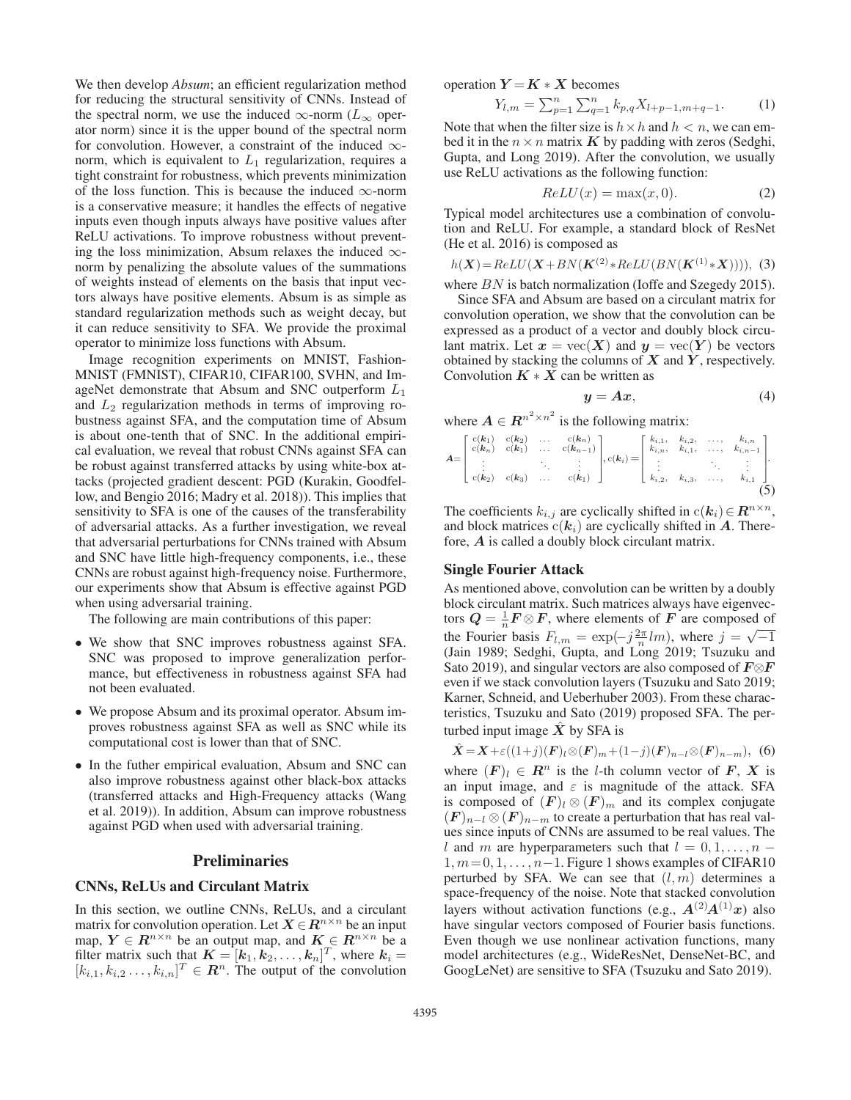We then develop *Absum*; an efficient regularization method for reducing the structural sensitivity of CNNs. Instead of the spectral norm, we use the induced  $\infty$ -norm ( $L_{\infty}$  operator norm) since it is the upper bound of the spectral norm for convolution. However, a constraint of the induced  $\infty$ norm, which is equivalent to  $L_1$  regularization, requires a tight constraint for robustness, which prevents minimization of the loss function. This is because the induced  $\infty$ -norm is a conservative measure; it handles the effects of negative inputs even though inputs always have positive values after ReLU activations. To improve robustness without preventing the loss minimization, Absum relaxes the induced  $\infty$ norm by penalizing the absolute values of the summations of weights instead of elements on the basis that input vectors always have positive elements. Absum is as simple as standard regularization methods such as weight decay, but it can reduce sensitivity to SFA. We provide the proximal operator to minimize loss functions with Absum.

Image recognition experiments on MNIST, Fashion-MNIST (FMNIST), CIFAR10, CIFAR100, SVHN, and ImageNet demonstrate that Absum and SNC outperform  $L_1$ and  $L_2$  regularization methods in terms of improving robustness against SFA, and the computation time of Absum is about one-tenth that of SNC. In the additional empirical evaluation, we reveal that robust CNNs against SFA can be robust against transferred attacks by using white-box attacks (projected gradient descent: PGD (Kurakin, Goodfellow, and Bengio 2016; Madry et al. 2018)). This implies that sensitivity to SFA is one of the causes of the transferability of adversarial attacks. As a further investigation, we reveal that adversarial perturbations for CNNs trained with Absum and SNC have little high-frequency components, i.e., these CNNs are robust against high-frequency noise. Furthermore, our experiments show that Absum is effective against PGD when using adversarial training.

The following are main contributions of this paper:

- We show that SNC improves robustness against SFA. SNC was proposed to improve generalization performance, but effectiveness in robustness against SFA had not been evaluated.
- We propose Absum and its proximal operator. Absum improves robustness against SFA as well as SNC while its computational cost is lower than that of SNC.
- In the futher empirical evaluation, Absum and SNC can also improve robustness against other black-box attacks (transferred attacks and High-Frequency attacks (Wang et al. 2019)). In addition, Absum can improve robustness against PGD when used with adversarial training.

#### Preliminaries

#### CNNs, ReLUs and Circulant Matrix

In this section, we outline CNNs, ReLUs, and a circulant matrix for convolution operation. Let  $X \in \mathbb{R}^{n \times n}$  be an input map,  $Y \in R^{n \times n}$  be an output map, and  $K \in R^{n \times n}$  be a filter matrix such that  $K = [k_1, k_2, \ldots, k_n]^T$ , where  $k_i = [k_1, k_2, \ldots, k_n]^T$  $[k_{i,1}, k_{i,2} \ldots, k_{i,n}]^T \in \mathbb{R}^n$ . The output of the convolution

operation  $Y = K \times X$  becomes

$$
Y_{l,m} = \sum_{p=1}^{n} \sum_{q=1}^{n} k_{p,q} X_{l+p-1,m+q-1}.
$$
 (1)

Note that when the filter size is  $h \times h$  and  $h < n$ , we can embed it in the  $n \times n$  matrix *K* by padding with zeros (Sedghi, Gupta, and Long 2019). After the convolution, we usually use ReLU activations as the following function:

$$
ReLU(x) = \max(x, 0).
$$
 (2)

Typical model architectures use a combination of convolution and ReLU. For example, a standard block of ResNet (He et al. 2016) is composed as

$$
h(X) = ReLU(X + BN(K^{(2)} * ReLU(BN(K^{(1)} * X))))
$$
, (3)

where BN is batch normalization (Ioffe and Szegedy 2015).

Since SFA and Absum are based on a circulant matrix for convolution operation, we show that the convolution can be expressed as a product of a vector and doubly block circulant matrix. Let  $x = \text{vec}(X)$  and  $y = \text{vec}(Y)$  be vectors obtained by stacking the columns of *X* and *Y* , respectively. Convolution  $K \times \overline{X}$  can be written as

$$
y = Ax,\t(4)
$$

where 
$$
\mathbf{A} \in \mathbb{R}^{n^2 \times n^2}
$$
 is the following matrix:

$$
A = \begin{bmatrix} c(k_1) & c(k_2) & \dots & c(k_n) \\ c(k_n) & c(k_1) & \dots & c(k_{n-1}) \\ \vdots & \vdots & \ddots & \vdots \\ c(k_2) & c(k_3) & \dots & c(k_1) \end{bmatrix}, c(k_i) = \begin{bmatrix} k_{i,1}, & k_{i,2}, & \dots, & k_{i,n} \\ k_{i,n}, & k_{i,1}, & \dots, & k_{i,n-1} \\ \vdots & \vdots & \ddots & \vdots \\ k_{i,2}, & k_{i,3}, & \dots, & k_{i,1} \end{bmatrix}.
$$
 (5)

The coefficients  $k_{i,j}$  are cyclically shifted in  $c(k_i) \in \mathbb{R}^{n \times n}$ , and block matrices  $c(k_i)$  are cyclically shifted in  $A$ . Therefore, *A* is called a doubly block circulant matrix.

### Single Fourier Attack

As mentioned above, convolution can be written by a doubly block circulant matrix. Such matrices always have eigenvectors  $Q = \frac{1}{n} F \otimes F$ , where elements of *F* are composed of the Fourier basis  $F_{l,m} = \exp(-j\frac{2\pi}{n}lm)$ , where  $j = \sqrt{-1}$ <br>(Jain 1989: Sedøhi, Gunta, and Long 2019: Tsuzuku and (Jain 1989; Sedghi, Gupta, and Long 2019; Tsuzuku and Sato 2019), and singular vectors are also composed of *F*⊗*F* even if we stack convolution layers (Tsuzuku and Sato 2019; Karner, Schneid, and Ueberhuber 2003). From these characteristics, Tsuzuku and Sato (2019) proposed SFA. The perturbed input image  $X$  by SFA is

$$
\hat{X} = X + \varepsilon((1+j)(F)_l \otimes (F)_m + (1-j)(F)_{n-l} \otimes (F)_{n-m}), \tag{6}
$$

where  $(F)_l \in \mathbb{R}^n$  is the *l*-th column vector of *F*, *X* is an input image, and  $\varepsilon$  is magnitude of the attack. SFA is composed of  $(F)_l \otimes (F)_m$  and its complex conjugate  $(F)_{n-l} \otimes (F)_{n-m}$  to create a perturbation that has real values since inputs of CNNs are assumed to be real values. The l and m are hyperparameters such that  $l = 0, 1, \ldots, n - 1$  $1, m = 0, 1, \ldots, n-1$ . Figure 1 shows examples of CIFAR10 perturbed by SFA. We can see that  $(l, m)$  determines a space-frequency of the noise. Note that stacked convolution layers without activation functions (e.g.,  $A^{(2)}A^{(1)}x$ ) also have singular vectors composed of Fourier basis functions. Even though we use nonlinear activation functions, many model architectures (e.g., WideResNet, DenseNet-BC, and GoogLeNet) are sensitive to SFA (Tsuzuku and Sato 2019).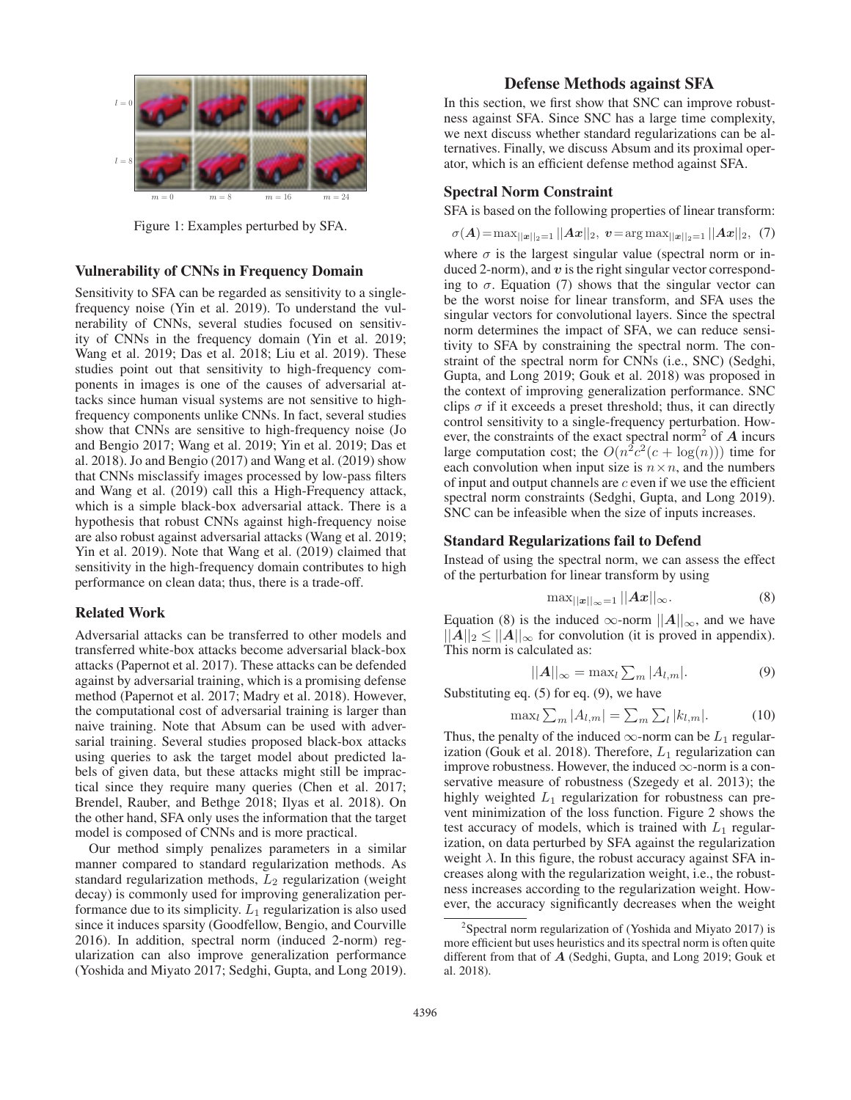

Figure 1: Examples perturbed by SFA.

#### Vulnerability of CNNs in Frequency Domain

Sensitivity to SFA can be regarded as sensitivity to a singlefrequency noise (Yin et al. 2019). To understand the vulnerability of CNNs, several studies focused on sensitivity of CNNs in the frequency domain (Yin et al. 2019; Wang et al. 2019; Das et al. 2018; Liu et al. 2019). These studies point out that sensitivity to high-frequency components in images is one of the causes of adversarial attacks since human visual systems are not sensitive to highfrequency components unlike CNNs. In fact, several studies show that CNNs are sensitive to high-frequency noise (Jo and Bengio 2017; Wang et al. 2019; Yin et al. 2019; Das et al. 2018). Jo and Bengio (2017) and Wang et al. (2019) show that CNNs misclassify images processed by low-pass filters and Wang et al. (2019) call this a High-Frequency attack, which is a simple black-box adversarial attack. There is a hypothesis that robust CNNs against high-frequency noise are also robust against adversarial attacks (Wang et al. 2019; Yin et al. 2019). Note that Wang et al. (2019) claimed that sensitivity in the high-frequency domain contributes to high performance on clean data; thus, there is a trade-off.

# Related Work

Adversarial attacks can be transferred to other models and transferred white-box attacks become adversarial black-box attacks (Papernot et al. 2017). These attacks can be defended against by adversarial training, which is a promising defense method (Papernot et al. 2017; Madry et al. 2018). However, the computational cost of adversarial training is larger than naive training. Note that Absum can be used with adversarial training. Several studies proposed black-box attacks using queries to ask the target model about predicted labels of given data, but these attacks might still be impractical since they require many queries (Chen et al. 2017; Brendel, Rauber, and Bethge 2018; Ilyas et al. 2018). On the other hand, SFA only uses the information that the target model is composed of CNNs and is more practical.

Our method simply penalizes parameters in a similar manner compared to standard regularization methods. As standard regularization methods,  $L_2$  regularization (weight decay) is commonly used for improving generalization performance due to its simplicity.  $L_1$  regularization is also used since it induces sparsity (Goodfellow, Bengio, and Courville 2016). In addition, spectral norm (induced 2-norm) regularization can also improve generalization performance (Yoshida and Miyato 2017; Sedghi, Gupta, and Long 2019).

# Defense Methods against SFA

In this section, we first show that SNC can improve robustness against SFA. Since SNC has a large time complexity, we next discuss whether standard regularizations can be alternatives. Finally, we discuss Absum and its proximal operator, which is an efficient defense method against SFA.

# Spectral Norm Constraint

SFA is based on the following properties of linear transform:

$$
\sigma(\boldsymbol{A}) = \max_{||\boldsymbol{x}||_2=1} ||\boldsymbol{A}\boldsymbol{x}||_2, \ \boldsymbol{v} = \arg \max_{||\boldsymbol{x}||_2=1} ||\boldsymbol{A}\boldsymbol{x}||_2, \ \ (7)
$$

where  $\sigma$  is the largest singular value (spectral norm or induced 2-norm), and *v* is the right singular vector corresponding to  $\sigma$ . Equation (7) shows that the singular vector can be the worst noise for linear transform, and SFA uses the singular vectors for convolutional layers. Since the spectral norm determines the impact of SFA, we can reduce sensitivity to SFA by constraining the spectral norm. The constraint of the spectral norm for CNNs (i.e., SNC) (Sedghi, Gupta, and Long 2019; Gouk et al. 2018) was proposed in the context of improving generalization performance. SNC clips  $\sigma$  if it exceeds a preset threshold; thus, it can directly control sensitivity to a single-frequency perturbation. However, the constraints of the exact spectral norm<sup>2</sup> of *A* incurs large computation cost; the  $O(n^2c^2(c + \log(n)))$  time for each convolution when input size is  $n \times n$ , and the numbers of input and output channels are  $c$  even if we use the efficient spectral norm constraints (Sedghi, Gupta, and Long 2019). SNC can be infeasible when the size of inputs increases.

# Standard Regularizations fail to Defend

Instead of using the spectral norm, we can assess the effect of the perturbation for linear transform by using

$$
\max_{||\mathbf{x}||_{\infty}=1} ||\mathbf{A}\mathbf{x}||_{\infty}.
$$
 (8)

Equation (8) is the induced  $\infty$ -norm  $||A||_{\infty}$ , and we have  $||A||_2 \le ||A||_{\infty}$  for convolution (it is proved in appendix). This norm is calculated as:

$$
||A||_{\infty} = \max_{l} \sum_{m} |A_{l,m}|.
$$
 (9)

Substituting eq.  $(5)$  for eq.  $(9)$ , we have

$$
\max_{l} \sum_{m} |A_{l,m}| = \sum_{m} \sum_{l} |k_{l,m}|. \tag{10}
$$

Thus, the penalty of the induced  $\infty$ -norm can be  $L_1$  regularization (Gouk et al. 2018). Therefore,  $L_1$  regularization can improve robustness. However, the induced  $\infty$ -norm is a conservative measure of robustness (Szegedy et al. 2013); the highly weighted  $L_1$  regularization for robustness can prevent minimization of the loss function. Figure 2 shows the test accuracy of models, which is trained with  $L_1$  regularization, on data perturbed by SFA against the regularization weight  $\lambda$ . In this figure, the robust accuracy against SFA increases along with the regularization weight, i.e., the robustness increases according to the regularization weight. However, the accuracy significantly decreases when the weight

 $2$ Spectral norm regularization of (Yoshida and Miyato 2017) is more efficient but uses heuristics and its spectral norm is often quite different from that of *A* (Sedghi, Gupta, and Long 2019; Gouk et al. 2018).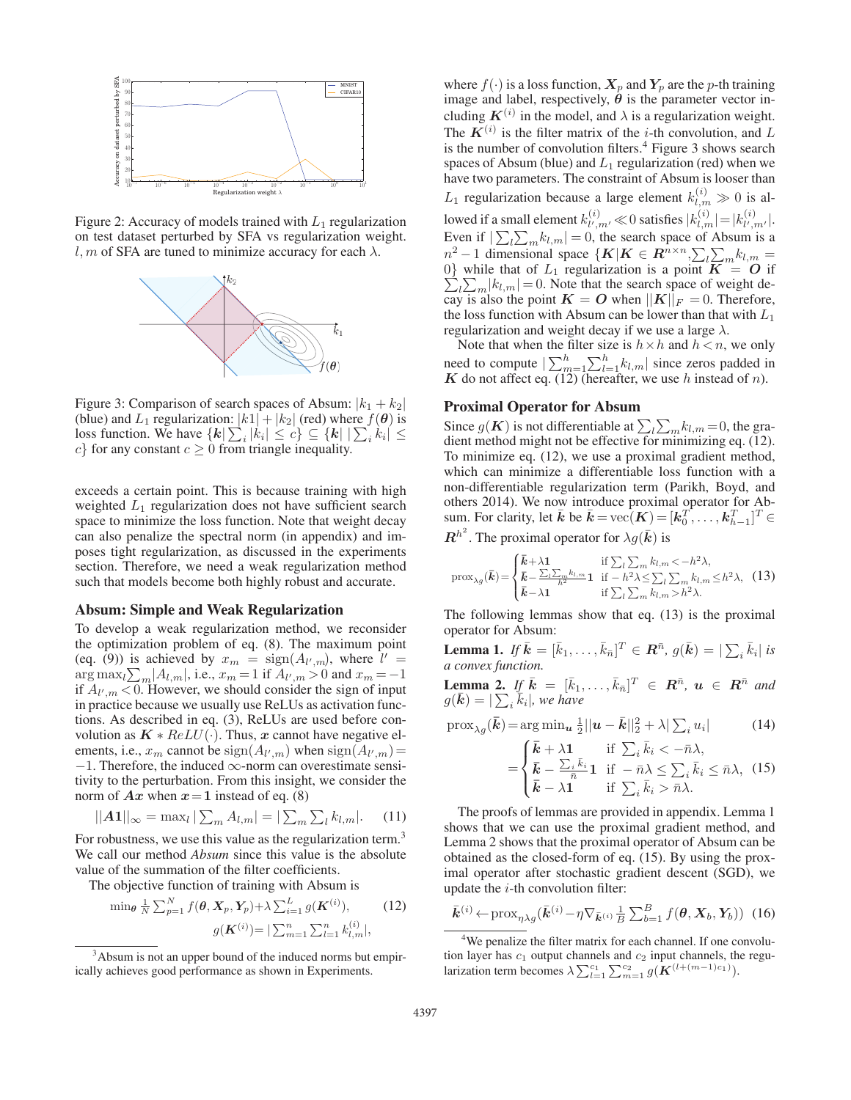

Figure 2: Accuracy of models trained with  $L_1$  regularization on test dataset perturbed by SFA vs regularization weight. l, m of SFA are tuned to minimize accuracy for each  $\lambda$ .



Figure 3: Comparison of search spaces of Absum:  $|k_1 + k_2|$ (blue) and  $L_1$  regularization:  $|k_1| + |k_2|$  (red) where  $f(\theta)$  is loss function. We have  ${k \sum_i |k_i| \le c} \subseteq {k \mid \sum_i k_i| \le c}$  for any constant  $c > 0$  from triangle inequality c} for any constant  $c \geq 0$  from triangle inequality.

exceeds a certain point. This is because training with high weighted  $L_1$  regularization does not have sufficient search space to minimize the loss function. Note that weight decay can also penalize the spectral norm (in appendix) and imposes tight regularization, as discussed in the experiments section. Therefore, we need a weak regularization method such that models become both highly robust and accurate.

# Absum: Simple and Weak Regularization

To develop a weak regularization method, we reconsider the optimization problem of eq. (8). The maximum point (eq. (9)) is achieved by  $x_m = \text{sign}(A_{l',m})$ , where  $l' =$ <br> $\text{argmax}_{l} \sum_{l=1}^{n} |A_{l,l}|$  i.e.  $x_{l} = 1$  if  $A_{l,i} > 0$  and  $x_{l} = -1$  $\arg \max_{l} \sum_{m} |A_{l,m}|$ , i.e.,  $x_m = 1$  if  $A_{l',m} > 0$  and  $x_m = -1$ <br>if  $A_{l',m} < 0$ . However, we should consider the sign of input if  $A_{l',m}$  < 0. However, we should consider the sign of input in practice because we usually use ReLUs as activation functions. As described in eq. (3), ReLUs are used before convolution as  $K * ReLU(·)$ . Thus, *x* cannot have negative elements, i.e.,  $x_m$  cannot be  $sign(A_{l',m})$  when  $sign(A_{l',m})=$  $-1$ . Therefore, the induced  $\infty$ -norm can overestimate sensitivity to the perturbation. From this insight, we consider the norm of  $Ax$  when  $x = 1$  instead of eq. (8)

$$
||A1||_{\infty} = \max_{l} |\sum_{m} A_{l,m}| = |\sum_{m} \sum_{l} k_{l,m}|. \tag{11}
$$

For robustness, we use this value as the regularization term.<sup>3</sup> We call our method *Absum* since this value is the absolute value of the summation of the filter coefficients.

The objective function of training with Absum is

$$
\min_{\theta} \frac{1}{N} \sum_{p=1}^{N} f(\theta, \mathbf{X}_p, \mathbf{Y}_p) + \lambda \sum_{i=1}^{L} g(\mathbf{K}^{(i)}),
$$
(12)  

$$
g(\mathbf{K}^{(i)}) = |\sum_{m=1}^{n} \sum_{l=1}^{n} k_{l,m}^{(i)}|,
$$

where  $f(\cdot)$  is a loss function,  $\mathbf{X}_p$  and  $\mathbf{Y}_p$  are the p-th training image and label, respectively,  $\dot{\theta}$  is the parameter vector including  $K^{(i)}$  in the model, and  $\lambda$  is a regularization weight. The  $K^{(i)}$  is the filter matrix of the *i*-th convolution, and L is the number of convolution filters.<sup>4</sup> Figure 3 shows search spaces of Absum (blue) and  $L_1$  regularization (red) when we have two parameters. The constraint of Absum is looser than  $L_1$  regularization because a large element  $k_{l,m}^{(i)} \gg 0$  is allowed if a small element  $k_{l',m'}^{(i)} \ll 0$  satisfies  $|k_{l,m}^{(i)}| = |k_{l',m'}^{(i)}|$ .<br>Even if  $|\sum_{l} \sum_{m} k_{l,m}| = 0$ , the search space of Absum is a  $n^2 - 1$  dimensional space  $\{K | K \in \mathbb{R}^{n \times n} \sum_{l} k_{l'} - 1\}$  $n^2 - 1$  dimensional space {*K*|*K* ∈ *R*<sup>n×n</sup></sub>, $\sum_l \sum_m k_{l,m} = 0$ } while that of  $L_1$  regularization is a point *K* = *O* if  $\sum_{l} \sum_{m} |k_{l,m}| = 0$ . Note that the search space of weight de-<br>cav is also the point  $\mathbf{K} = \mathbf{O}$  when  $||\mathbf{K}||_F = 0$ . Therefore cay is also the point  $K = O$  when  $||K||_F = 0$ . Therefore, the loss function with Absum can be lower than that with  $L$ . the loss function with Absum can be lower than that with  $L_1$ regularization and weight decay if we use a large  $\lambda$ .

Note that when the filter size is  $h \times h$  and  $h < n$ , we only need to compute  $\left|\sum_{m=1}^{n}\sum_{l=1}^{n}k_{l,m}\right|$  since zeros padded in **K** do not affect eq. (12) (hereafter, we use h instead of n).

#### Proximal Operator for Absum

Since  $g(K)$  is not differentiable at  $\sum_{l} \sum_{m} k_{l,m} = 0$ , the gra-<br>dient method might not be effective for minimizing eq. (12) dient method might not be effective for minimizing eq. (12). To minimize eq. (12), we use a proximal gradient method, which can minimize a differentiable loss function with a non-differentiable regularization term (Parikh, Boyd, and others 2014). We now introduce proximal operator for Absum. For clarity, let  $\vec{k}$  be  $\vec{k} = \text{vec}(\vec{K}) = [k_0^T, \dots, k_{h-1}^T]^T \in$  $\boldsymbol{R}^{h^2}$ . The proximal operator for  $\lambda g(\bar{\boldsymbol{k}})$  is

$$
\text{prox}_{\lambda g}(\bar{\mathbf{k}}) = \begin{cases} \bar{\mathbf{k}} + \lambda \mathbf{1} & \text{if } \sum_{l} \sum_{m} k_{l,m} < -h^2 \lambda, \\ \bar{\mathbf{k}} - \frac{\sum_{l} \sum_{m} k_{l,m}}{h^2} \mathbf{1} & \text{if } -h^2 \lambda \le \sum_{l} \sum_{m} k_{l,m} \le h^2 \lambda, \\ \bar{\mathbf{k}} - \lambda \mathbf{1} & \text{if } \sum_{l} \sum_{m} k_{l,m} > h^2 \lambda. \end{cases}
$$
(13)

The following lemmas show that eq. (13) is the proximal operator for Absum:

**Lemma 1.** If  $\bar{k} = [\bar{k}_1, \ldots, \bar{k}_{\bar{n}}]^T \in \mathbb{R}^{\bar{n}}$ ,  $g(\bar{k}) = |\sum_i \bar{k}_i|$  is *a convex function.*

**Lemma 2.** If  $\bar{k} = [\bar{k}_1, \ldots, \bar{k}_n]^T \in \mathbb{R}^n$ ,  $u \in \mathbb{R}^n$  and  $g(\bar{k}) = |\sum_{k=1}^{\infty} \bar{k}_k|$  we have  $g(\bar{\mathbf{k}}) = |\sum_{i} \bar{k}_{i}|$ , we have

$$
\text{prox}_{\lambda g}(\boldsymbol{\bar{k}}) = \arg \min_{\boldsymbol{u}} \frac{1}{2} ||\boldsymbol{u} - \boldsymbol{\bar{k}}||_2^2 + \lambda |\sum_i u_i| \tag{14}
$$

$$
= \begin{cases} \bar{k} + \lambda \mathbf{1} & \text{if } \sum_{i} \bar{k}_{i} < -\bar{n}\lambda, \\ \bar{k} - \frac{\sum_{i} \bar{k}_{i}}{\bar{n}} \mathbf{1} & \text{if } -\bar{n}\lambda \leq \sum_{i} \bar{k}_{i} \leq \bar{n}\lambda, \\ \bar{k} - \lambda \mathbf{1} & \text{if } \sum_{i} \bar{k}_{i} > \bar{n}\lambda. \end{cases} \tag{15}
$$

The proofs of lemmas are provided in appendix. Lemma 1 shows that we can use the proximal gradient method, and Lemma 2 shows that the proximal operator of Absum can be obtained as the closed-form of eq. (15). By using the proximal operator after stochastic gradient descent (SGD), we update the  $i$ -th convolution filter:

$$
\bar{k}^{(i)} \leftarrow \text{prox}_{\eta \lambda g}(\bar{k}^{(i)} - \eta \nabla_{\bar{k}^{(i)}} \frac{1}{B} \sum_{b=1}^{B} f(\theta, X_b, Y_b))
$$
 (16)

<sup>4</sup>We penalize the filter matrix for each channel. If one convolution layer has  $c_1$  output channels and  $c_2$  input channels, the regularization term becomes  $\lambda \sum_{l=1}^{c_1} \sum_{m=1}^{c_2} g(\mathbf{K}^{(l+(m-1)c_1)})$ .

<sup>&</sup>lt;sup>3</sup>Absum is not an upper bound of the induced norms but empirically achieves good performance as shown in Experiments.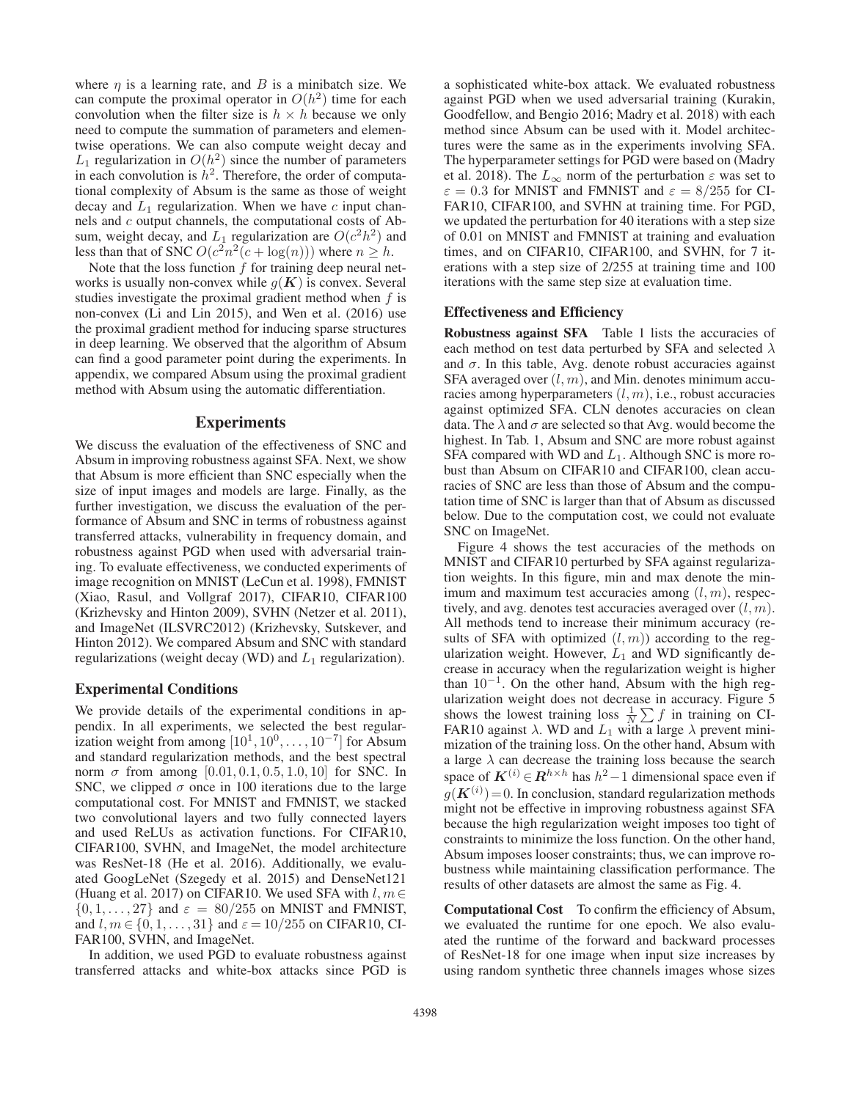where  $\eta$  is a learning rate, and B is a minibatch size. We can compute the proximal operator in  $O(h^2)$  time for each convolution when the filter size is  $h \times h$  because we only need to compute the summation of parameters and elementwise operations. We can also compute weight decay and  $L_1$  regularization in  $O(h^2)$  since the number of parameters in each convolution is  $h^2$ . Therefore, the order of computational complexity of Absum is the same as those of weight decay and  $L_1$  regularization. When we have  $c$  input channels and c output channels, the computational costs of Absum, weight decay, and  $L_1$  regularization are  $O(c^2h^2)$  and less than that of SNC  $O(c^2n^2(c + \log(n)))$  where  $n \geq h$ .

Note that the loss function  $f$  for training deep neural networks is usually non-convex while  $g(K)$  is convex. Several studies investigate the proximal gradient method when  $f$  is non-convex (Li and Lin 2015), and Wen et al. (2016) use the proximal gradient method for inducing sparse structures in deep learning. We observed that the algorithm of Absum can find a good parameter point during the experiments. In appendix, we compared Absum using the proximal gradient method with Absum using the automatic differentiation.

#### Experiments

We discuss the evaluation of the effectiveness of SNC and Absum in improving robustness against SFA. Next, we show that Absum is more efficient than SNC especially when the size of input images and models are large. Finally, as the further investigation, we discuss the evaluation of the performance of Absum and SNC in terms of robustness against transferred attacks, vulnerability in frequency domain, and robustness against PGD when used with adversarial training. To evaluate effectiveness, we conducted experiments of image recognition on MNIST (LeCun et al. 1998), FMNIST (Xiao, Rasul, and Vollgraf 2017), CIFAR10, CIFAR100 (Krizhevsky and Hinton 2009), SVHN (Netzer et al. 2011), and ImageNet (ILSVRC2012) (Krizhevsky, Sutskever, and Hinton 2012). We compared Absum and SNC with standard regularizations (weight decay (WD) and  $L_1$  regularization).

#### Experimental Conditions

We provide details of the experimental conditions in appendix. In all experiments, we selected the best regularization weight from among  $[10^1, 10^0, \ldots, 10^{-7}]$  for Absum and standard regularization methods, and the best spectral norm σ from among [0.01, 0.1, 0.5, 1.0, 10] for SNC. In SNC, we clipped  $\sigma$  once in 100 iterations due to the large computational cost. For MNIST and FMNIST, we stacked two convolutional layers and two fully connected layers and used ReLUs as activation functions. For CIFAR10, CIFAR100, SVHN, and ImageNet, the model architecture was ResNet-18 (He et al. 2016). Additionally, we evaluated GoogLeNet (Szegedy et al. 2015) and DenseNet121 (Huang et al. 2017) on CIFAR10. We used SFA with  $l, m \in$  $\{0, 1, \ldots, 27\}$  and  $\varepsilon = 80/255$  on MNIST and FMNIST, and  $l, m \in \{0, 1, \ldots, 31\}$  and  $\varepsilon = 10/255$  on CIFAR10, CI-FAR100, SVHN, and ImageNet.

In addition, we used PGD to evaluate robustness against transferred attacks and white-box attacks since PGD is

a sophisticated white-box attack. We evaluated robustness against PGD when we used adversarial training (Kurakin, Goodfellow, and Bengio 2016; Madry et al. 2018) with each method since Absum can be used with it. Model architectures were the same as in the experiments involving SFA. The hyperparameter settings for PGD were based on (Madry et al. 2018). The  $L_{\infty}$  norm of the perturbation  $\varepsilon$  was set to  $\varepsilon = 0.3$  for MNIST and FMNIST and  $\varepsilon = 8/255$  for CI-FAR10, CIFAR100, and SVHN at training time. For PGD, we updated the perturbation for 40 iterations with a step size of 0.01 on MNIST and FMNIST at training and evaluation times, and on CIFAR10, CIFAR100, and SVHN, for 7 iterations with a step size of 2/255 at training time and 100 iterations with the same step size at evaluation time.

#### Effectiveness and Efficiency

Robustness against SFA Table 1 lists the accuracies of each method on test data perturbed by SFA and selected  $\lambda$ and  $\sigma$ . In this table, Avg. denote robust accuracies against SFA averaged over  $(l, m)$ , and Min. denotes minimum accuracies among hyperparameters  $(l, m)$ , i.e., robust accuracies against optimized SFA. CLN denotes accuracies on clean data. The  $\lambda$  and  $\sigma$  are selected so that Avg. would become the highest. In Tab. 1, Absum and SNC are more robust against SFA compared with WD and  $L_1$ . Although SNC is more robust than Absum on CIFAR10 and CIFAR100, clean accuracies of SNC are less than those of Absum and the computation time of SNC is larger than that of Absum as discussed below. Due to the computation cost, we could not evaluate SNC on ImageNet.

Figure 4 shows the test accuracies of the methods on MNIST and CIFAR10 perturbed by SFA against regularization weights. In this figure, min and max denote the minimum and maximum test accuracies among  $(l, m)$ , respectively, and avg. denotes test accuracies averaged over  $(l, m)$ . All methods tend to increase their minimum accuracy (results of SFA with optimized  $(l, m)$  according to the regularization weight. However,  $L_1$  and WD significantly decrease in accuracy when the regularization weight is higher than 10−<sup>1</sup>. On the other hand, Absum with the high regularization weight does not decrease in accuracy. Figure 5 shows the lowest training loss  $\frac{1}{N} \sum f$  in training on CI-FAR10 against  $\lambda$ . WD and  $L_1$  with a large  $\lambda$  prevent minimization of the training loss. On the other hand, Absum with a large  $\lambda$  can decrease the training loss because the search space of  $K^{(i)} \in \mathbb{R}^{h \times h}$  has  $h^2 - 1$  dimensional space even if  $g(K^{(i)})$  = 0. In conclusion, standard regularization methods might not be effective in improving robustness against SFA because the high regularization weight imposes too tight of constraints to minimize the loss function. On the other hand, Absum imposes looser constraints; thus, we can improve robustness while maintaining classification performance. The results of other datasets are almost the same as Fig. 4.

Computational Cost To confirm the efficiency of Absum, we evaluated the runtime for one epoch. We also evaluated the runtime of the forward and backward processes of ResNet-18 for one image when input size increases by using random synthetic three channels images whose sizes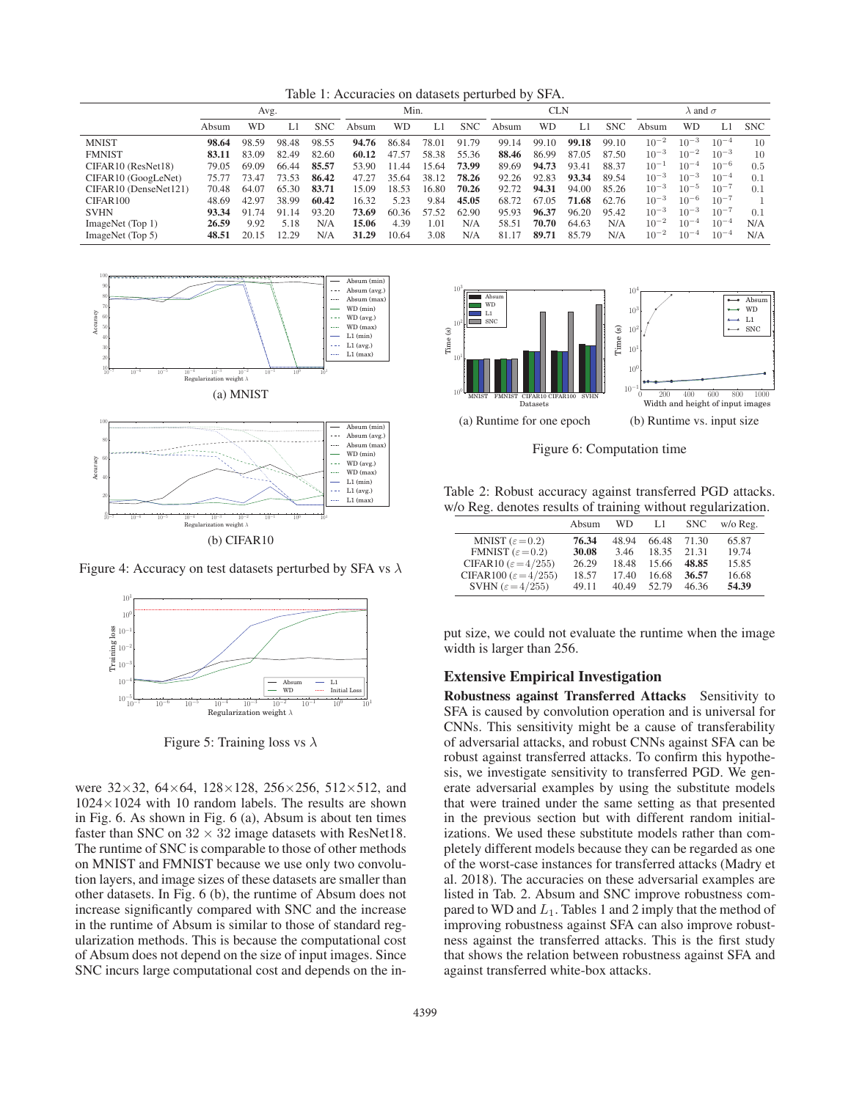Table 1: Accuracies on datasets perturbed by SFA.

|                                                | Avg.  |       |       |            | Min.  |       |       | CLN        |       |       | $\lambda$ and $\sigma$ |            |           |           |           |            |
|------------------------------------------------|-------|-------|-------|------------|-------|-------|-------|------------|-------|-------|------------------------|------------|-----------|-----------|-----------|------------|
|                                                | Absum | WD    | L1    | <b>SNC</b> | Absum | WD    |       | <b>SNC</b> | Absum | WD    | Ll                     | <b>SNC</b> | Absum     | WD        | LI        | <b>SNC</b> |
| <b>MNIST</b>                                   | 98.64 | 98.59 | 98.48 | 98.55      | 94.76 | 86.84 | 78.01 | 91.79      | 99.14 | 99.10 | 99.18                  | 99.10      | $10^{-2}$ | $10^{-3}$ | $10^{-4}$ | 10         |
| <b>FMNIST</b>                                  | 83.11 | 83.09 | 82.49 | 82.60      | 60.12 | 47.57 | 58.38 | 55.36      | 88.46 | 86.99 | 87.05                  | 87.50      | $10^{-3}$ | $10^{-2}$ | $10^{-3}$ | 10         |
| CIFAR10 (ResNet18)                             | 79.05 | 69.09 | 66.44 | 85.57      | 53.90 | 11.44 | 15.64 | 73.99      | 89.69 | 94.73 | 93.41                  | 88.37      | $10^{-1}$ | $10^{-4}$ | $10^{-6}$ | 0.5        |
| CIFAR <sub>10</sub> (GoogLeNet)                | 75.77 | 73.47 | 73.53 | 86.42      | 47.27 | 35.64 | 38.12 | 78.26      | 92.26 | 92.83 | 93.34                  | 89.54      | $10^{-3}$ | $10^{-3}$ | $10^{-4}$ | 0.1        |
| CIFAR <sub>10</sub> (DenseNet <sub>121</sub> ) | 70.48 | 64.07 | 65.30 | 83.71      | 15.09 | 18.53 | 16.80 | 70.26      | 92.72 | 94.31 | 94.00                  | 85.26      | $10^{-3}$ | $10^{-5}$ | $10^{-7}$ | 0.1        |
| CIFAR100                                       | 48.69 | 42.97 | 38.99 | 60.42      | 16.32 | 5.23  | 9.84  | 45.05      | 68.72 | 67.05 | 71.68                  | 62.76      | $10^{-3}$ | $10^{-6}$ | $10^{-7}$ |            |
| <b>SVHN</b>                                    | 93.34 | 91 74 | 91.14 | 93.20      | 73.69 | 60.36 | 57.52 | 62.90      | 95.93 | 96.37 | 96.20                  | 95.42      | $10^{-3}$ | $10^{-3}$ | $10^{-7}$ | 0.1        |
| ImageNet (Top 1)                               | 26.59 | 9.92  | 5.18  | N/A        | 15.06 | 4.39  | 1.01  | N/A        | 58.51 | 70.70 | 64.63                  | N/A        | $10^{-2}$ | $10^{-4}$ | $10^{-4}$ | N/A        |
| ImageNet (Top 5)                               | 48.51 | 20.15 | 12.29 | N/A        | 31.29 | 10.64 | 3.08  | N/A        | 81.17 | 89.71 | 85.79                  | N/A        | $10^{-2}$ | $10^{-4}$ | $10^{-4}$ | N/A        |



Figure 4: Accuracy on test datasets perturbed by SFA vs  $\lambda$ 



Figure 5: Training loss vs  $\lambda$ 

were 32×32, 64×64, 128×128, 256×256, 512×512, and  $1024\times1024$  with 10 random labels. The results are shown in Fig. 6. As shown in Fig. 6 (a), Absum is about ten times faster than SNC on  $32 \times 32$  image datasets with ResNet18. The runtime of SNC is comparable to those of other methods on MNIST and FMNIST because we use only two convolution layers, and image sizes of these datasets are smaller than other datasets. In Fig. 6 (b), the runtime of Absum does not increase significantly compared with SNC and the increase in the runtime of Absum is similar to those of standard regularization methods. This is because the computational cost of Absum does not depend on the size of input images. Since SNC incurs large computational cost and depends on the in-



Figure 6: Computation time

Table 2: Robust accuracy against transferred PGD attacks. w/o Reg. denotes results of training without regularization.

|                                   | Absum | WD    | L1    | <b>SNC</b> | w/o Reg. |
|-----------------------------------|-------|-------|-------|------------|----------|
| MNIST $(\varepsilon=0.2)$         | 76.34 | 48.94 | 66.48 | 71.30      | 65.87    |
| FMNIST $(\varepsilon = 0.2)$      | 30.08 | 3.46  | 18.35 | 21 31      | 19.74    |
| CIFAR10 ( $\varepsilon$ = 4/255)  | 26.29 | 18.48 | 15.66 | 48.85      | 15.85    |
| CIFAR100 ( $\varepsilon$ = 4/255) | 18.57 | 17.40 | 16.68 | 36.57      | 16.68    |
| SVHN $(\varepsilon = 4/255)$      | 49.11 | 40.49 | 52.79 | 46.36      | 54.39    |

put size, we could not evaluate the runtime when the image width is larger than 256.

#### Extensive Empirical Investigation

Robustness against Transferred Attacks Sensitivity to SFA is caused by convolution operation and is universal for CNNs. This sensitivity might be a cause of transferability of adversarial attacks, and robust CNNs against SFA can be robust against transferred attacks. To confirm this hypothesis, we investigate sensitivity to transferred PGD. We generate adversarial examples by using the substitute models that were trained under the same setting as that presented in the previous section but with different random initializations. We used these substitute models rather than completely different models because they can be regarded as one of the worst-case instances for transferred attacks (Madry et al. 2018). The accuracies on these adversarial examples are listed in Tab. 2. Absum and SNC improve robustness compared to WD and  $L_1$ . Tables 1 and 2 imply that the method of improving robustness against SFA can also improve robustness against the transferred attacks. This is the first study that shows the relation between robustness against SFA and against transferred white-box attacks.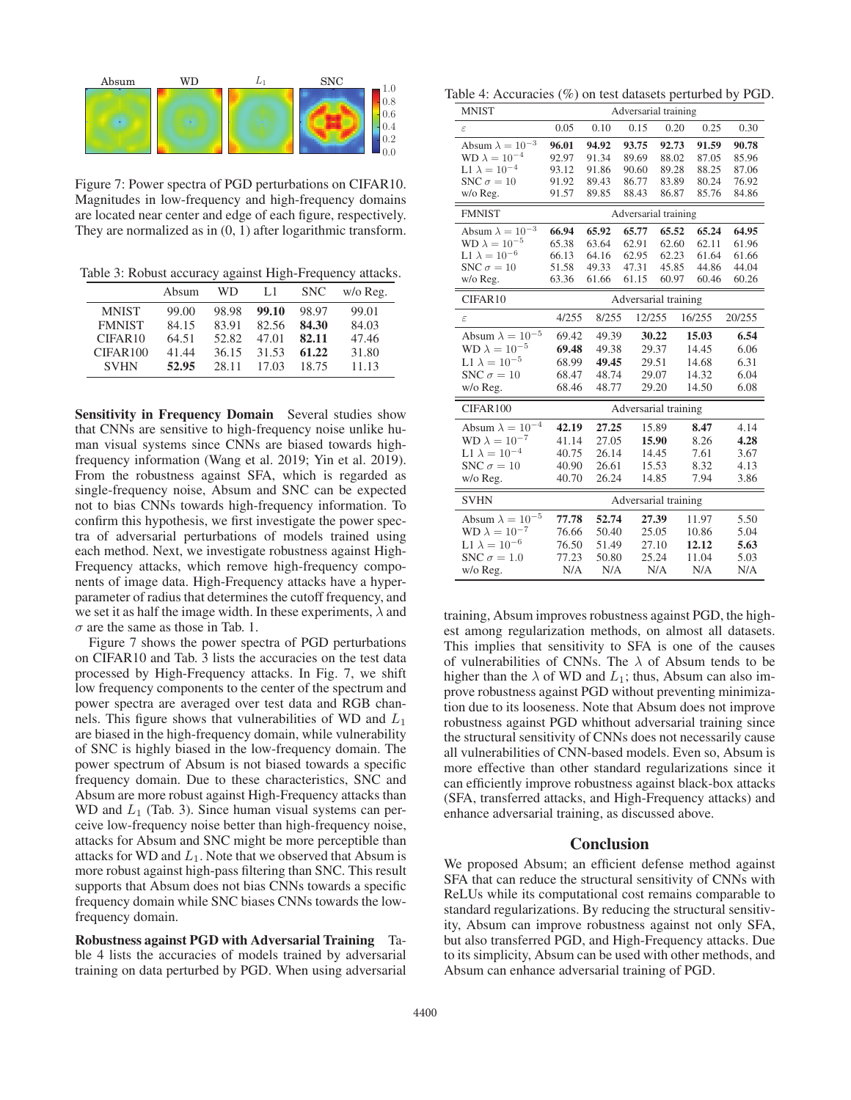

Figure 7: Power spectra of PGD perturbations on CIFAR10. Magnitudes in low-frequency and high-frequency domains are located near center and edge of each figure, respectively. They are normalized as in (0, 1) after logarithmic transform.

Table 3: Robust accuracy against High-Frequency attacks.

|               | Absum | WD    | Ll    | <b>SNC</b> | w/o Reg. |
|---------------|-------|-------|-------|------------|----------|
| <b>MNIST</b>  | 99.00 | 98.98 | 99.10 | 98.97      | 99.01    |
| <b>FMNIST</b> | 84.15 | 83.91 | 82.56 | 84.30      | 84.03    |
| CIFAR10       | 64.51 | 52.82 | 47.01 | 82.11      | 47.46    |
| CIFAR100      | 41.44 | 36.15 | 31.53 | 61.22      | 31.80    |
| <b>SVHN</b>   | 52.95 | 28.11 | 17.03 | 18.75      | 11.13    |

Sensitivity in Frequency Domain Several studies show that CNNs are sensitive to high-frequency noise unlike human visual systems since CNNs are biased towards highfrequency information (Wang et al. 2019; Yin et al. 2019). From the robustness against SFA, which is regarded as single-frequency noise, Absum and SNC can be expected not to bias CNNs towards high-frequency information. To confirm this hypothesis, we first investigate the power spectra of adversarial perturbations of models trained using each method. Next, we investigate robustness against High-Frequency attacks, which remove high-frequency components of image data. High-Frequency attacks have a hyperparameter of radius that determines the cutoff frequency, and we set it as half the image width. In these experiments,  $\lambda$  and  $\sigma$  are the same as those in Tab. 1.

Figure 7 shows the power spectra of PGD perturbations on CIFAR10 and Tab. 3 lists the accuracies on the test data processed by High-Frequency attacks. In Fig. 7, we shift low frequency components to the center of the spectrum and power spectra are averaged over test data and RGB channels. This figure shows that vulnerabilities of WD and  $L_1$ are biased in the high-frequency domain, while vulnerability of SNC is highly biased in the low-frequency domain. The power spectrum of Absum is not biased towards a specific frequency domain. Due to these characteristics, SNC and Absum are more robust against High-Frequency attacks than WD and  $L_1$  (Tab. 3). Since human visual systems can perceive low-frequency noise better than high-frequency noise, attacks for Absum and SNC might be more perceptible than attacks for WD and  $L_1$ . Note that we observed that Absum is more robust against high-pass filtering than SNC. This result supports that Absum does not bias CNNs towards a specific frequency domain while SNC biases CNNs towards the lowfrequency domain.

Robustness against PGD with Adversarial Training Table 4 lists the accuracies of models trained by adversarial training on data perturbed by PGD. When using adversarial

Table 4: Accuracies (%) on test datasets perturbed by PGD.

| <b>MNIST</b>              | Adversarial training |       |                      |       |        |        |  |  |  |
|---------------------------|----------------------|-------|----------------------|-------|--------|--------|--|--|--|
| $\varepsilon$             | 0.05                 | 0.10  | 0.15                 | 0.20  | 0.25   | 0.30   |  |  |  |
| Absum $\lambda = 10^{-3}$ | 96.01                | 94.92 | 93.75                | 92.73 | 91.59  | 90.78  |  |  |  |
| $WD \lambda = 10^{-4}$    | 92.97                | 91.34 | 89.69                | 88.02 | 87.05  | 85.96  |  |  |  |
| L1 $\lambda = 10^{-4}$    | 93.12                | 91.86 | 90.60                | 89.28 | 88.25  | 87.06  |  |  |  |
| SNC $\sigma = 10$         | 91.92                | 89.43 | 86.77                | 83.89 | 80.24  | 76.92  |  |  |  |
| w/o Reg.                  | 91.57                | 89.85 | 88.43                | 86.87 | 85.76  | 84.86  |  |  |  |
| <b>FMNIST</b>             |                      |       | Adversarial training |       |        |        |  |  |  |
| Absum $\lambda = 10^{-3}$ | 66.94                | 65.92 | 65.77                | 65.52 | 65.24  | 64.95  |  |  |  |
| $WD \lambda = 10^{-5}$    | 65.38                | 63.64 | 62.91                | 62.60 | 62.11  | 61.96  |  |  |  |
| L1 $\lambda = 10^{-6}$    | 66.13                | 64.16 | 62.95                | 62.23 | 61.64  | 61.66  |  |  |  |
| SNC $\sigma = 10$         | 51.58                | 49.33 | 47.31                | 45.85 | 44.86  | 44.04  |  |  |  |
| w/o Reg.                  | 63.36                | 61.66 | 61.15                | 60.97 | 60.46  | 60.26  |  |  |  |
| CIFAR10                   |                      |       | Adversarial training |       |        |        |  |  |  |
| $\varepsilon$             | 4/255                | 8/255 | 12/255               |       | 16/255 | 20/255 |  |  |  |
| Absum $\lambda = 10^{-5}$ | 69.42                | 49.39 | 30.22                |       | 15.03  | 6.54   |  |  |  |
| WD $\lambda = 10^{-5}$    | 69.48                | 49.38 | 29.37                |       | 14.45  | 6.06   |  |  |  |
| L1 $\lambda = 10^{-5}$    | 68.99                | 49.45 | 29.51                |       | 14.68  | 6.31   |  |  |  |
| SNC $\sigma = 10$         | 68.47                | 48.74 | 29.07                |       | 14.32  | 6.04   |  |  |  |
| w/o Reg.                  | 68.46                | 48.77 | 29.20                |       | 14.50  | 6.08   |  |  |  |
| CIFAR100                  |                      |       | Adversarial training |       |        |        |  |  |  |
| Absum $\lambda = 10^{-4}$ | 42.19                | 27.25 |                      | 15.89 | 8.47   | 4.14   |  |  |  |
| $WD \lambda = 10^{-7}$    | 41.14                | 27.05 | 15.90                |       | 8.26   | 4.28   |  |  |  |
| L1 $\lambda = 10^{-4}$    | 40.75                | 26.14 |                      | 14.45 | 7.61   | 3.67   |  |  |  |
| SNC $\sigma = 10$         | 40.90                | 26.61 |                      | 15.53 | 8.32   | 4.13   |  |  |  |
| w/o Reg.                  | 40.70                | 26.24 |                      | 14.85 | 7.94   | 3.86   |  |  |  |
| <b>SVHN</b>               | Adversarial training |       |                      |       |        |        |  |  |  |
| Absum $\lambda = 10^{-5}$ | 77.78                | 52.74 | 27.39                |       | 11.97  | 5.50   |  |  |  |
| WD $\lambda = 10^{-7}$    | 76.66                | 50.40 | 25.05                |       | 10.86  | 5.04   |  |  |  |
| L1 $\lambda = 10^{-6}$    | 76.50                | 51.49 | 27.10                |       | 12.12  | 5.63   |  |  |  |
| SNC $\sigma = 1.0$        | 77.23                | 50.80 | 25.24                |       | 11.04  | 5.03   |  |  |  |
| w/o Reg.                  | N/A                  | N/A   |                      | N/A   | N/A    | N/A    |  |  |  |

training, Absum improves robustness against PGD, the highest among regularization methods, on almost all datasets. This implies that sensitivity to SFA is one of the causes of vulnerabilities of CNNs. The  $\lambda$  of Absum tends to be higher than the  $\lambda$  of WD and  $L_1$ ; thus, Absum can also improve robustness against PGD without preventing minimization due to its looseness. Note that Absum does not improve robustness against PGD whithout adversarial training since the structural sensitivity of CNNs does not necessarily cause all vulnerabilities of CNN-based models. Even so, Absum is more effective than other standard regularizations since it can efficiently improve robustness against black-box attacks (SFA, transferred attacks, and High-Frequency attacks) and enhance adversarial training, as discussed above.

#### Conclusion

We proposed Absum; an efficient defense method against SFA that can reduce the structural sensitivity of CNNs with ReLUs while its computational cost remains comparable to standard regularizations. By reducing the structural sensitivity, Absum can improve robustness against not only SFA, but also transferred PGD, and High-Frequency attacks. Due to its simplicity, Absum can be used with other methods, and Absum can enhance adversarial training of PGD.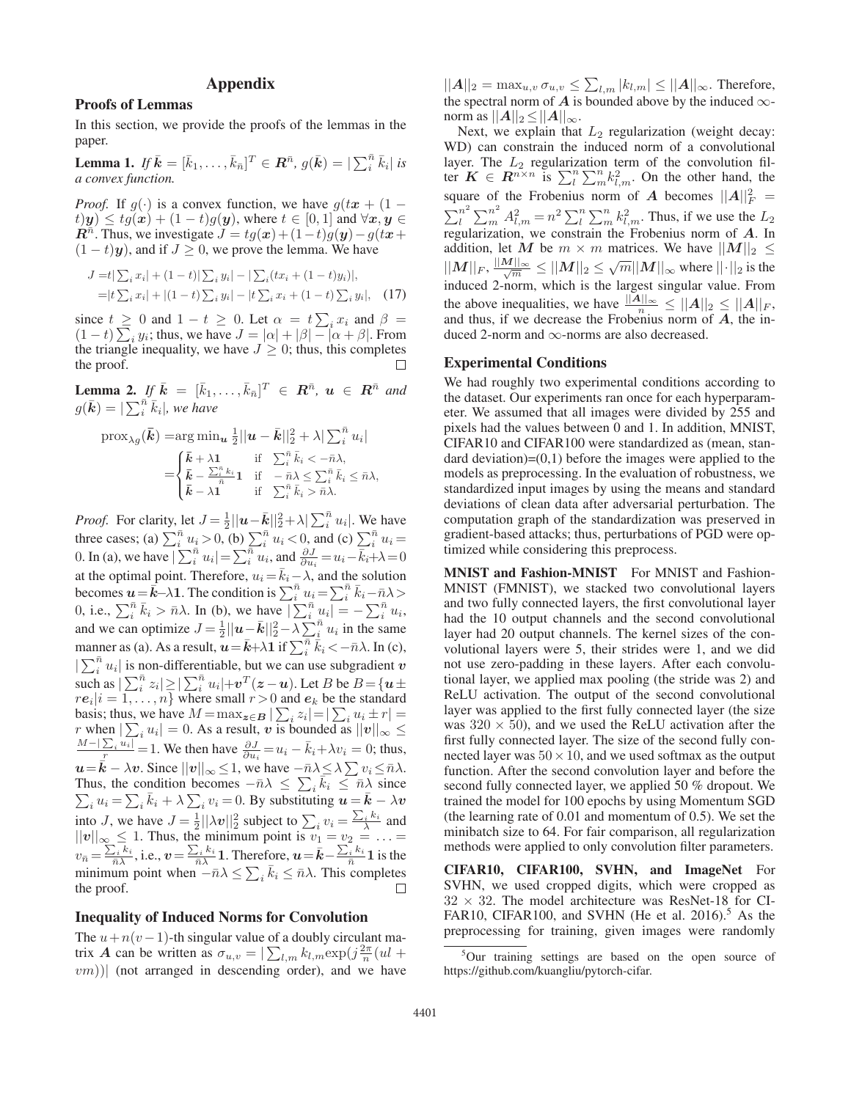# Appendix

#### Proofs of Lemmas

In this section, we provide the proofs of the lemmas in the paper.

**Lemma 1.** If  $\bar{k} = [\bar{k}_1, \ldots, \bar{k}_{\bar{n}}]^T \in \mathbb{R}^{\bar{n}}$ ,  $g(\bar{k}) = |\sum_i^{\bar{n}} \bar{k}_i|$  is a convex function *a convex function.*

*Proof.* If  $g(\cdot)$  is a convex function, we have  $g(tx + (1 (t)$  $y) \leq tg(x) + (1-t)g(y)$ , where  $t \in [0,1]$  and  $\forall x, y \in$ *R*<sup>n</sup>. Thus, we investigate  $J = tg(x) + (1-t)g(y) - g(tx +$  $(1-t)y$ ), and if  $J \ge 0$ , we prove the lemma. We have

$$
J = t \sum_{i} x_{i} + (1 - t) \sum_{i} y_{i} - \sum_{i} (tx_{i} + (1 - t)y_{i}),
$$
  
=|t \sum\_{i} x\_{i}| + |(1 - t) \sum\_{i} y\_{i}| - |t \sum\_{i} x\_{i} + (1 - t) \sum\_{i} y\_{i}|, (17)

since  $t \ge 0$  and  $1 - t \ge 0$ . Let  $\alpha = t \sum_i x_i$  and  $\beta = (1-t) \sum_i y_i$ ; thus, we have  $J = |\alpha| + |\beta| - |\alpha + \beta|$ . From the triangle inequality we have  $J \ge 0$ ; thus this completes the triangle inequality, we have  $J \geq 0$ ; thus, this completes the proof.

**Lemma 2.** If  $\bar{k} = [\bar{k}_1, ..., \bar{k}_{\bar{n}}]^T \in R^{\bar{n}}, u \in R^{\bar{n}}$  and  $g(\bar{\mathbf{k}}) = |\sum_{i}^{\bar{n}} \bar{k}_{i}|$ , we have

$$
\text{prox}_{\lambda g}(\bar{\mathbf{k}}) = \arg \min_{\mathbf{u}} \frac{1}{2} ||\mathbf{u} - \bar{\mathbf{k}}||_2^2 + \lambda |\sum_i^{\bar{n}} u_i|
$$
  
= 
$$
\begin{cases} \bar{\mathbf{k}} + \lambda \mathbf{1} & \text{if } \sum_i^{\bar{n}} \bar{k}_i < -\bar{n}\lambda, \\ \bar{\mathbf{k}} - \sum_i^{\bar{n}} \bar{k}_1 & \text{if } -\bar{n}\lambda \le \sum_i^{\bar{n}} \bar{k}_i \le \bar{n}\lambda, \\ \bar{\mathbf{k}} - \lambda \mathbf{1} & \text{if } \sum_i^{\bar{n}} \bar{k}_i > \bar{n}\lambda. \end{cases}
$$

*Proof.* For clarity, let  $J = \frac{1}{2} ||\mathbf{u} - \bar{\mathbf{k}}||_2^2 + \lambda |\sum_i^n u_i|$ . We have<br>three cases; (a)  $\sum_i^n u_i > 0$ , (b)  $\sum_i^n u_i < 0$ , and (c)  $\sum_i^n u_i =$ <br>0. In (a), we have  $|\sum_i^n u_i| = \sum_i^n u_i$ , and  $\frac{\partial J}{\partial u_i} = u_i - \bar{k}_i + \lambda = 0$ at the optimal point. Therefore,  $u_i = \overline{k}_i - \lambda$ , and the solution<br>becomes  $\mathbf{u} = \overline{\mathbf{k}} - \lambda \mathbf{1}$ . The condition is  $\sum_i^{\overline{n}} u_i = \sum_i^{\overline{n}} \overline{k}_i - \overline{n} \lambda > 0$ , i.e.,  $\sum_i^{\overline{n}} \overline{k}_i > \overline{n} \lambda$ . In (b), we have  $|\sum_i^{\overline{n}} u$  $|\sum_{i=1}^{\overline{n}} u_i|$  is non-differentiable, but we can use subgradient *v*<br>such as  $|\sum_{i=1}^{\overline{n}} z_i| \geq |\sum_{i=1}^{\overline{n}} u_i| + v^T(z - u)$ . Let B be  $B = \{u \pm r e_i | i = 1, ..., n\}$  where small  $r > 0$  and  $e_k$  be the standard  $r e_i | i = 1,...,n$  where small  $r > 0$  and  $e_k$  be the standard<br>hasis: thus we have  $M = \max_{n=1}^{\infty} \sum_{n=1}^{\infty} x_i^2 + r! =$ basis; thus, we have  $M = \max_{\mathbf{z} \in \mathbf{B}} |\sum_i z_i| = |\sum_i u_i \pm r| = r$  when  $|\sum_i u_i| = 0$ . As a result, v is bounded as  $||v||_{\infty} \le \frac{M - |\sum_i u_i|}{M} = 1$ . We then have  $\frac{\partial J}{\partial u_i} = u_i - \bar{k}_i + \lambda v_i = 0$ ; thus,  $u=\vec{k}-\lambda v$ . Since  $||v||_{\infty} \leq 1$ , we have  $-\bar{n}\lambda \leq \sum_{i} \lambda \sum_{i} v_{i} \leq \bar{n}\lambda$ .<br>Thus, the condition becomes  $-\bar{n}\lambda \leq \sum_{i} \bar{k}_{i} \leq \bar{n}\lambda$  since  $\sum_i u_i = \sum_i \bar{k}_i + \lambda \sum_i v_i = 0$ . By substituting  $u = \bar{k} - \lambda v$ into *J*, we have  $J = \frac{1}{2} ||\lambda v||_2^2$  subject to  $\sum_i v_i = \frac{\sum_i k_i}{\lambda}$  and  $||v||_{\infty} \leq 1$ . Thus, the minimum point is  $v_1 = v_2 = \ldots =$  $v_{\bar{n}} = \frac{\sum_i k_i}{\bar{n}\lambda}$ , i.e.,  $v = \frac{\sum_i k_i}{\bar{n}\lambda}$  1. Therefore,  $u = \bar{k} - \frac{\sum_i k_i}{\bar{n}}$  1 is the minimum point when  $-\bar{n}\lambda \le \sum_i \bar{k}_i \le \bar{n}\lambda$ . This completes  $\bar{k}_i \leq \bar{n}\lambda$ . This completes the proof.

# Inequality of Induced Norms for Convolution

The  $u+n(v-1)$ -th singular value of a doubly circulant matrix *A* can be written as  $\sigma_{u,v} = \sum_{l,m} k_{l,m} \exp(j\frac{2\pi}{n}(ul + uv))$  (not arranged in descending order), and we have  $(vm))$  (not arranged in descending order), and we have

 $||A||_2 = \max_{u,v} \sigma_{u,v} \leq \sum_{l,m} |k_{l,m}| \leq ||A||_{\infty}$ . Therefore, the spectral norm of *A* is bounded above by the induced  $\infty$ norm as  $||A||_2 \leq ||A||_{\infty}$ .

Next, we explain that  $L_2$  regularization (weight decay: WD) can constrain the induced norm of a convolutional layer. The  $L_2$  regularization term of the convolution filter  $K \in \mathbb{R}^{n \times n}$  is  $\sum_{l}^{n} \sum_{m}^{n} k_{l,m}^2$ . On the other hand, the square of the Frobenius norm of *A* becomes  $||A||_F^2 =$ square of the Frobenius norm of *A* becomes  $||A||_F^2 = \sum_l^n \sum_m^n A_{l,m}^2 = n^2 \sum_l^n \sum_m^n k_{l,m}^2$ . Thus, if we use the  $L_2$  regularization, we constrain the Frobenius norm of *A*. In addition, let M be  $m \times m$  matrices. We have  $||M||_2 \le$  $||M||_F$ ,  $\frac{||M||_{\infty}}{\sqrt{m}} \leq ||M||_2 \leq \sqrt{m}||M||_{\infty}$  where  $||\cdot||_2$  is the induced 2-norm, which is the largest singular value. From the above inequalities, we have  $\frac{\|A\|_{\infty}}{n} \leq \|A\|_2 \leq \|A\|_F$ , and thus, if we decrease the Frobenius norm of A, the inand thus, if we decrease the Frobenius norm of *A*, the induced 2-norm and ∞-norms are also decreased.

#### Experimental Conditions

We had roughly two experimental conditions according to the dataset. Our experiments ran once for each hyperparameter. We assumed that all images were divided by 255 and pixels had the values between 0 and 1. In addition, MNIST, CIFAR10 and CIFAR100 were standardized as (mean, standard deviation)= $(0,1)$  before the images were applied to the models as preprocessing. In the evaluation of robustness, we standardized input images by using the means and standard deviations of clean data after adversarial perturbation. The computation graph of the standardization was preserved in gradient-based attacks; thus, perturbations of PGD were optimized while considering this preprocess.

MNIST and Fashion-MNIST For MNIST and Fashion-MNIST (FMNIST), we stacked two convolutional layers and two fully connected layers, the first convolutional layer had the 10 output channels and the second convolutional layer had 20 output channels. The kernel sizes of the convolutional layers were 5, their strides were 1, and we did not use zero-padding in these layers. After each convolutional layer, we applied max pooling (the stride was 2) and ReLU activation. The output of the second convolutional layer was applied to the first fully connected layer (the size was  $320 \times 50$ , and we used the ReLU activation after the first fully connected layer. The size of the second fully connected layer was  $50 \times 10$ , and we used softmax as the output function. After the second convolution layer and before the second fully connected layer, we applied 50 % dropout. We trained the model for 100 epochs by using Momentum SGD (the learning rate of 0.01 and momentum of 0.5). We set the minibatch size to 64. For fair comparison, all regularization methods were applied to only convolution filter parameters.

CIFAR10, CIFAR100, SVHN, and ImageNet For SVHN, we used cropped digits, which were cropped as  $32 \times 32$ . The model architecture was ResNet-18 for CI-FAR10, CIFAR100, and SVHN (He et al. 2016).<sup>5</sup> As the preprocessing for training, given images were randomly

<sup>&</sup>lt;sup>5</sup>Our training settings are based on the open source of https://github.com/kuangliu/pytorch-cifar.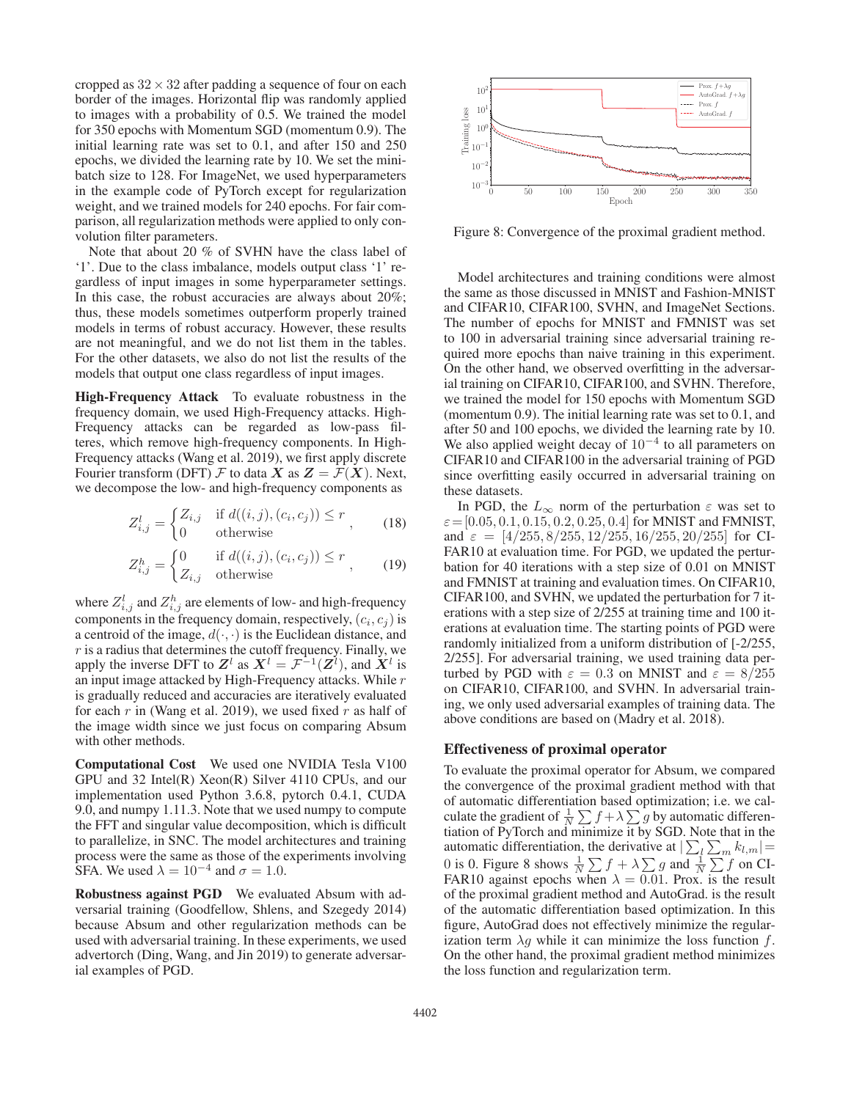cropped as  $32 \times 32$  after padding a sequence of four on each border of the images. Horizontal flip was randomly applied to images with a probability of 0.5. We trained the model for 350 epochs with Momentum SGD (momentum 0.9). The initial learning rate was set to 0.1, and after 150 and 250 epochs, we divided the learning rate by 10. We set the minibatch size to 128. For ImageNet, we used hyperparameters in the example code of PyTorch except for regularization weight, and we trained models for 240 epochs. For fair comparison, all regularization methods were applied to only convolution filter parameters.

Note that about 20 % of SVHN have the class label of '1'. Due to the class imbalance, models output class '1' regardless of input images in some hyperparameter settings. In this case, the robust accuracies are always about 20%; thus, these models sometimes outperform properly trained models in terms of robust accuracy. However, these results are not meaningful, and we do not list them in the tables. For the other datasets, we also do not list the results of the models that output one class regardless of input images.

High-Frequency Attack To evaluate robustness in the frequency domain, we used High-Frequency attacks. High-Frequency attacks can be regarded as low-pass filteres, which remove high-frequency components. In High-Frequency attacks (Wang et al. 2019), we first apply discrete Fourier transform (DFT)  $\mathcal F$  to data  $X$  as  $Z = \mathcal F(X)$ . Next, we decompose the low- and high-frequency components as

$$
Z_{i,j}^l = \begin{cases} Z_{i,j} & \text{if } d((i,j),(c_i,c_j)) \le r \\ 0 & \text{otherwise} \end{cases} \tag{18}
$$

$$
Z_{i,j}^h = \begin{cases} 0 & \text{if } d((i,j),(c_i,c_j)) \le r \\ Z_{i,j} & \text{otherwise} \end{cases}
$$
 (19)

where  $Z_{i,j}^l$  and  $Z_{i,j}^h$  are elements of low- and high-frequency<br>components in the frequency domain, respectively  $(a, a)$  is components in the frequency domain, respectively,  $(c_i, c_j)$  is a centroid of the image,  $d(\cdot, \cdot)$  is the Euclidean distance, and  $r$  is a radius that determines the cutoff frequency. Finally, we apply the inverse DFT to  $\mathbf{Z}^l$  as  $\mathbf{X}^l = \mathcal{F}^{-1}(\mathbf{Z}^l)$ , and  $\mathbf{X}^l$  is an input image attacked by High-Frequency attacks. While r is gradually reduced and accuracies are iteratively evaluated for each  $r$  in (Wang et al. 2019), we used fixed  $r$  as half of the image width since we just focus on comparing Absum with other methods.

Computational Cost We used one NVIDIA Tesla V100 GPU and 32 Intel(R) Xeon(R) Silver 4110 CPUs, and our implementation used Python 3.6.8, pytorch 0.4.1, CUDA 9.0, and numpy 1.11.3. Note that we used numpy to compute the FFT and singular value decomposition, which is difficult to parallelize, in SNC. The model architectures and training process were the same as those of the experiments involving SFA. We used  $\lambda = 10^{-4}$  and  $\sigma = 1.0$ .

Robustness against PGD We evaluated Absum with adversarial training (Goodfellow, Shlens, and Szegedy 2014) because Absum and other regularization methods can be used with adversarial training. In these experiments, we used advertorch (Ding, Wang, and Jin 2019) to generate adversarial examples of PGD.



Figure 8: Convergence of the proximal gradient method.

Model architectures and training conditions were almost the same as those discussed in MNIST and Fashion-MNIST and CIFAR10, CIFAR100, SVHN, and ImageNet Sections. The number of epochs for MNIST and FMNIST was set to 100 in adversarial training since adversarial training required more epochs than naive training in this experiment. On the other hand, we observed overfitting in the adversarial training on CIFAR10, CIFAR100, and SVHN. Therefore, we trained the model for 150 epochs with Momentum SGD (momentum 0.9). The initial learning rate was set to 0.1, and after 50 and 100 epochs, we divided the learning rate by 10. We also applied weight decay of  $10^{-4}$  to all parameters on CIFAR10 and CIFAR100 in the adversarial training of PGD since overfitting easily occurred in adversarial training on these datasets.

In PGD, the  $L_{\infty}$  norm of the perturbation  $\varepsilon$  was set to  $\varepsilon = [0.05, 0.1, 0.15, 0.2, 0.25, 0.4]$  for MNIST and FMNIST, and  $\varepsilon = [4/255, 8/255, 12/255, 16/255, 20/255]$  for CI-FAR10 at evaluation time. For PGD, we updated the perturbation for 40 iterations with a step size of 0.01 on MNIST and FMNIST at training and evaluation times. On CIFAR10, CIFAR100, and SVHN, we updated the perturbation for 7 iterations with a step size of 2/255 at training time and 100 iterations at evaluation time. The starting points of PGD were randomly initialized from a uniform distribution of [-2/255, 2/255]. For adversarial training, we used training data perturbed by PGD with  $\varepsilon = 0.3$  on MNIST and  $\varepsilon = 8/255$ on CIFAR10, CIFAR100, and SVHN. In adversarial training, we only used adversarial examples of training data. The above conditions are based on (Madry et al. 2018).

# Effectiveness of proximal operator

To evaluate the proximal operator for Absum, we compared the convergence of the proximal gradient method with that of automatic differentiation based optimization; i.e. we calculate the gradient of  $\frac{1}{N} \sum f + \lambda \sum g$  by automatic differentiation of PyTorch and minimize it by SGD. Note that in the automatic differentiation, the derivative at  $\sum_{l} \sum_{m} k_{l,m} =$ <br>0 is 0. Figure 8 shows  $\frac{1}{n} \sum_{l} f + \sum_{l} g$  and  $\frac{1}{n} \sum_{l} f$  on CI 0 is 0. Figure 8 shows  $\frac{1}{N} \sum f + \lambda \sum g$  and  $\frac{1}{N}$ N  $\sum f + \lambda \sum g$  and  $\frac{1}{\lambda}$  $\tilde{\epsilon}$ .  $\sum f$  on CI-FAR10 against epochs when  $\lambda = 0.01$ . Prox. is the result of the proximal gradient method and AutoGrad. is the result of the automatic differentiation based optimization. In this figure, AutoGrad does not effectively minimize the regularization term  $\lambda g$  while it can minimize the loss function f. On the other hand, the proximal gradient method minimizes the loss function and regularization term.